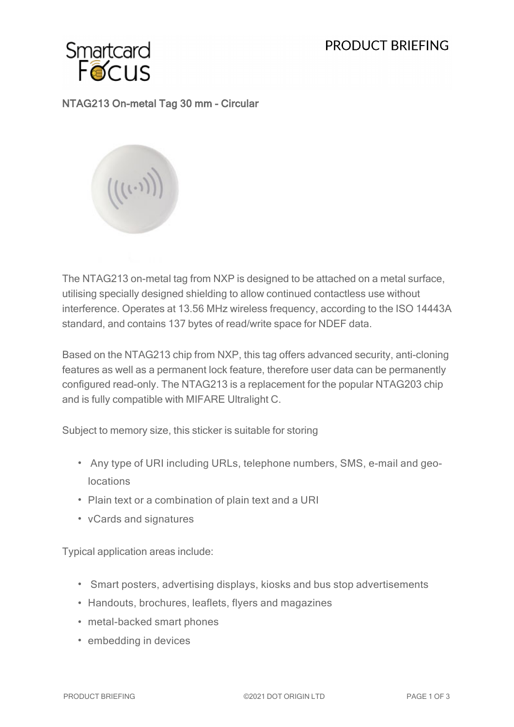# PRODUCT BRIFFING



### NTAG213 On-metal Tag 30 mm - Circular



The NTAG213 on-metal tag from NXP is designed to be attached on a metal surface, utilising specially designed shielding to allow continued contactless use without interference. Operates at 13.56 MHz wireless frequency, according to the ISO 14443A standard, and contains 137 bytes of read/write space for NDEF data.

Based on the NTAG213 chip from NXP, this tag offers advanced security, anti-cloning features as well as a permanent lock feature, therefore user data can be permanently configured read-only. The NTAG213 is a replacement for the popular NTAG203 chip and is fully compatible with MIFARE Ultralight C.

Subject to memory size, this sticker is suitable for storing

- Any type of URI including URLs, telephone numbers, SMS, e-mail and geolocations
- Plain text or a combination of plain text and a URI
- vCards and signatures

Typical application areas include:

- Smart posters, advertising displays, kiosks and bus stop advertisements
- Handouts, brochures, leaflets, flyers and magazines
- metal-backed smart phones
- embedding in devices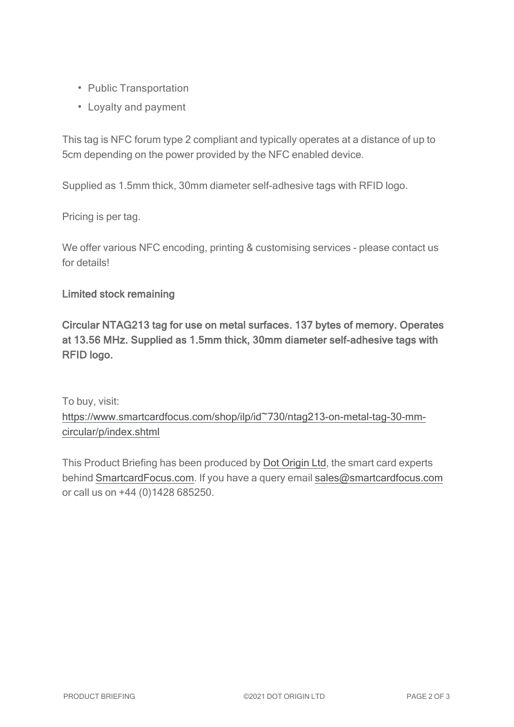- Public Transportation
- Loyalty and payment

This tag is NFC forum type 2 compliant and typically operates at a distance of up to 5cm depending on the power provided by the NFC enabled device.

Supplied as 1.5mm thick, 30mm diameter self-adhesive tags with RFID logo.

Pricing is per tag.

We offer various NFC encoding, printing & customising services - please contact us for details!

#### Limited stock remaining

Circular NTAG213 tag for use on metal surfaces. 137 bytes of memory. Operates at 13.56 MHz. Supplied as 1.5mm thick, 30mm diameter self-adhesive tags with RFID logo.

To buy, visit:

[https://www.smartcardfocus.com/shop/ilp/id~730/ntag213-on-metal-tag-30-mm](https://www.smartcardfocus.com/shop/ilp/id~730/ntag213-on-metal-tag-30-mm-circular/p/index.shtml?utm_source=download&utm_medium=pdf&utm_campaign=scf-product-pdf)[circular/p/index.shtml](https://www.smartcardfocus.com/shop/ilp/id~730/ntag213-on-metal-tag-30-mm-circular/p/index.shtml?utm_source=download&utm_medium=pdf&utm_campaign=scf-product-pdf)

This Product Briefing has been produced by Dot [Origin](https://www.dotorigin.com/) Ltd, the smart card experts behind [SmartcardFocus.com.](https://www.smartcardfocus.com/?utm_source=download&utm_medium=pdf&utm_campaign=scf-product-pdf) If you have a query email [sales@smartcardfocus.com](mailto:sales@smartcardfocus.com?subject=Product Briefing query) or call us on +44 (0)1428 685250.